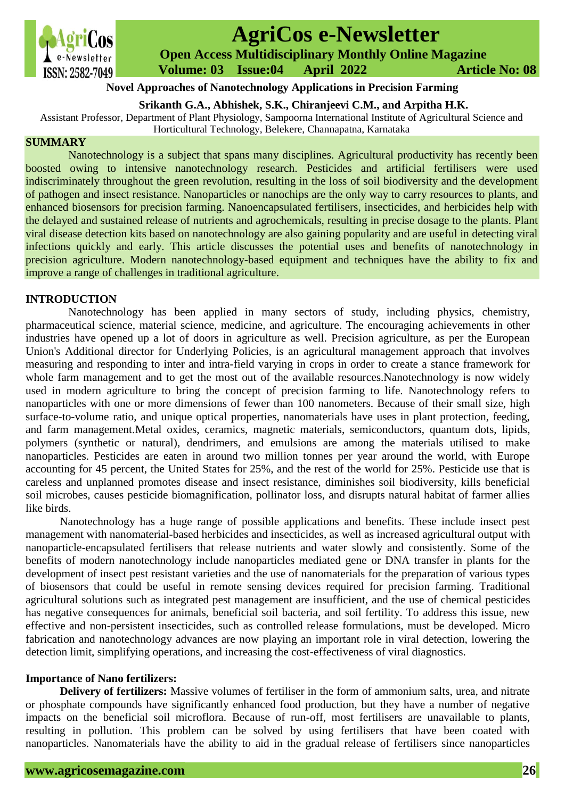

# **AgriCos e-Newsletter**

 **Open Access Multidisciplinary Monthly Online Magazine**

 **Volume: 03 Issue:04 April 2022 Article No: 08**

## **Novel Approaches of Nanotechnology Applications in Precision Farming**

**Srikanth G.A., Abhishek, S.K., Chiranjeevi C.M., and Arpitha H.K.**

Assistant Professor, Department of Plant Physiology, Sampoorna International Institute of Agricultural Science and Horticultural Technology, Belekere, Channapatna, Karnataka

## **SUMMARY**

Nanotechnology is a subject that spans many disciplines. Agricultural productivity has recently been boosted owing to intensive nanotechnology research. Pesticides and artificial fertilisers were used indiscriminately throughout the green revolution, resulting in the loss of soil biodiversity and the development of pathogen and insect resistance. Nanoparticles or nanochips are the only way to carry resources to plants, and enhanced biosensors for precision farming. Nanoencapsulated fertilisers, insecticides, and herbicides help with the delayed and sustained release of nutrients and agrochemicals, resulting in precise dosage to the plants. Plant viral disease detection kits based on nanotechnology are also gaining popularity and are useful in detecting viral infections quickly and early. This article discusses the potential uses and benefits of nanotechnology in precision agriculture. Modern nanotechnology-based equipment and techniques have the ability to fix and improve a range of challenges in traditional agriculture.

## **INTRODUCTION**

 Nanotechnology has been applied in many sectors of study, including physics, chemistry, pharmaceutical science, material science, medicine, and agriculture. The encouraging achievements in other industries have opened up a lot of doors in agriculture as well. Precision agriculture, as per the European Union's Additional director for Underlying Policies, is an agricultural management approach that involves measuring and responding to inter and intra-field varying in crops in order to create a stance framework for whole farm management and to get the most out of the available resources. Nanotechnology is now widely used in modern agriculture to bring the concept of precision farming to life. Nanotechnology refers to nanoparticles with one or more dimensions of fewer than 100 nanometers. Because of their small size, high surface-to-volume ratio, and unique optical properties, nanomaterials have uses in plant protection, feeding, and farm management.Metal oxides, ceramics, magnetic materials, semiconductors, quantum dots, lipids, polymers (synthetic or natural), dendrimers, and emulsions are among the materials utilised to make nanoparticles. Pesticides are eaten in around two million tonnes per year around the world, with Europe accounting for 45 percent, the United States for 25%, and the rest of the world for 25%. Pesticide use that is careless and unplanned promotes disease and insect resistance, diminishes soil biodiversity, kills beneficial soil microbes, causes pesticide biomagnification, pollinator loss, and disrupts natural habitat of farmer allies like birds.

Nanotechnology has a huge range of possible applications and benefits. These include insect pest management with nanomaterial-based herbicides and insecticides, as well as increased agricultural output with nanoparticle-encapsulated fertilisers that release nutrients and water slowly and consistently. Some of the benefits of modern nanotechnology include nanoparticles mediated gene or DNA transfer in plants for the development of insect pest resistant varieties and the use of nanomaterials for the preparation of various types of biosensors that could be useful in remote sensing devices required for precision farming. Traditional agricultural solutions such as integrated pest management are insufficient, and the use of chemical pesticides has negative consequences for animals, beneficial soil bacteria, and soil fertility. To address this issue, new effective and non-persistent insecticides, such as controlled release formulations, must be developed. Micro fabrication and nanotechnology advances are now playing an important role in viral detection, lowering the detection limit, simplifying operations, and increasing the cost-effectiveness of viral diagnostics.

## **Importance of Nano fertilizers:**

**Delivery of fertilizers:** Massive volumes of fertiliser in the form of ammonium salts, urea, and nitrate or phosphate compounds have significantly enhanced food production, but they have a number of negative impacts on the beneficial soil microflora. Because of run-off, most fertilisers are unavailable to plants, resulting in pollution. This problem can be solved by using fertilisers that have been coated with nanoparticles. Nanomaterials have the ability to aid in the gradual release of fertilisers since nanoparticles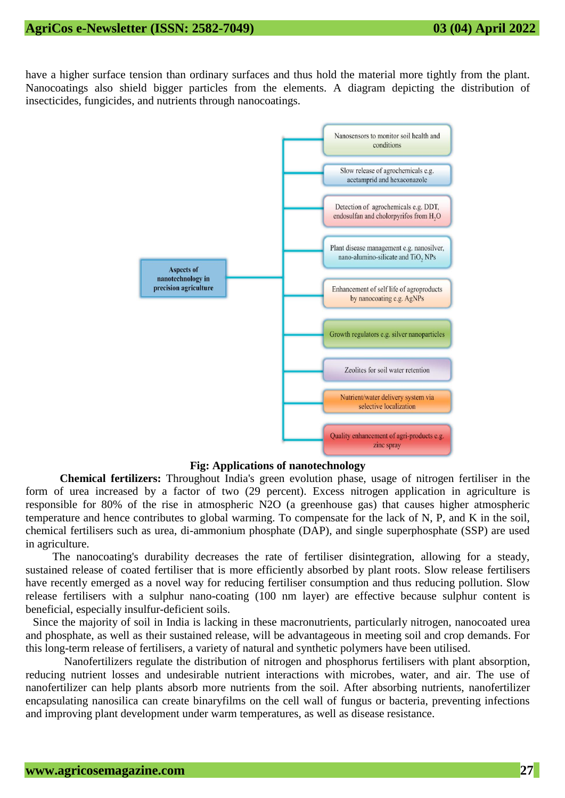have a higher surface tension than ordinary surfaces and thus hold the material more tightly from the plant. Nanocoatings also shield bigger particles from the elements. A diagram depicting the distribution of insecticides, fungicides, and nutrients through nanocoatings.



**Fig: Applications of nanotechnology**

**Chemical fertilizers:** Throughout India's green evolution phase, usage of nitrogen fertiliser in the form of urea increased by a factor of two (29 percent). Excess nitrogen application in agriculture is responsible for 80% of the rise in atmospheric N2O (a greenhouse gas) that causes higher atmospheric temperature and hence contributes to global warming. To compensate for the lack of N, P, and K in the soil, chemical fertilisers such as urea, di-ammonium phosphate (DAP), and single superphosphate (SSP) are used in agriculture.

The nanocoating's durability decreases the rate of fertiliser disintegration, allowing for a steady, sustained release of coated fertiliser that is more efficiently absorbed by plant roots. Slow release fertilisers have recently emerged as a novel way for reducing fertiliser consumption and thus reducing pollution. Slow release fertilisers with a sulphur nano-coating (100 nm layer) are effective because sulphur content is beneficial, especially insulfur-deficient soils.

Since the majority of soil in India is lacking in these macronutrients, particularly nitrogen, nanocoated urea and phosphate, as well as their sustained release, will be advantageous in meeting soil and crop demands. For this long-term release of fertilisers, a variety of natural and synthetic polymers have been utilised.

 Nanofertilizers regulate the distribution of nitrogen and phosphorus fertilisers with plant absorption, reducing nutrient losses and undesirable nutrient interactions with microbes, water, and air. The use of nanofertilizer can help plants absorb more nutrients from the soil. After absorbing nutrients, nanofertilizer encapsulating nanosilica can create binaryfilms on the cell wall of fungus or bacteria, preventing infections and improving plant development under warm temperatures, as well as disease resistance.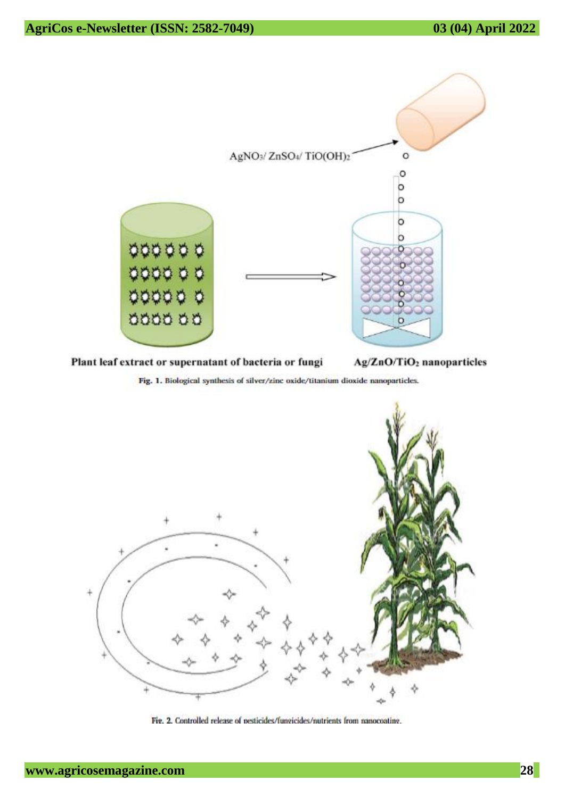

Plant leaf extract or supernatant of bacteria or fungi

Ag/ZnO/TiO<sub>2</sub> nanoparticles

Fig. 1. Biological synthesis of silver/zinc oxide/titanium dioxide nanoparticles.



Fig. 2. Controlled release of pesticides/fungicides/nutrients from nanocoating.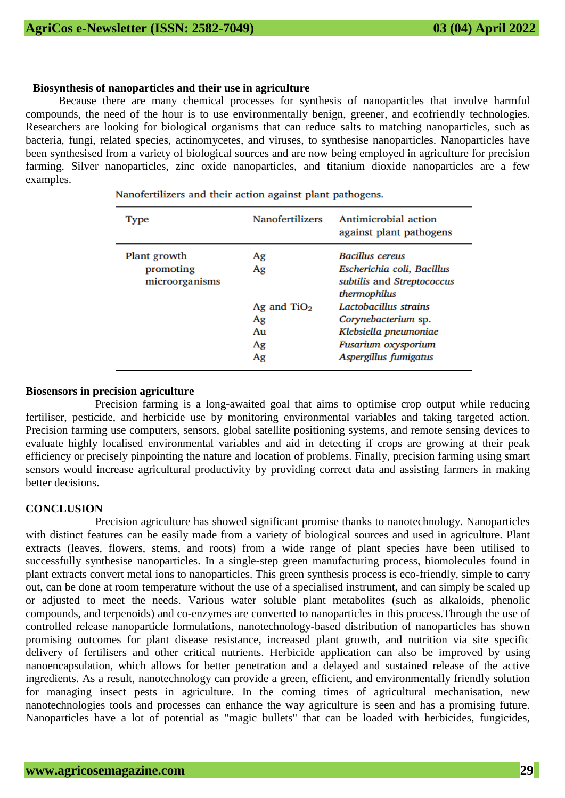#### **Biosynthesis of nanoparticles and their use in agriculture**

 Because there are many chemical processes for synthesis of nanoparticles that involve harmful compounds, the need of the hour is to use environmentally benign, greener, and ecofriendly technologies. Researchers are looking for biological organisms that can reduce salts to matching nanoparticles, such as bacteria, fungi, related species, actinomycetes, and viruses, to synthesise nanoparticles. Nanoparticles have been synthesised from a variety of biological sources and are now being employed in agriculture for precision farming. Silver nanoparticles, zinc oxide nanoparticles, and titanium dioxide nanoparticles are a few examples.

| Type                                        | <b>Nanofertilizers</b>                            | Antimicrobial action<br>against plant pathogens                                                                                                                                                                             |
|---------------------------------------------|---------------------------------------------------|-----------------------------------------------------------------------------------------------------------------------------------------------------------------------------------------------------------------------------|
| Plant growth<br>promoting<br>microorganisms | Ag<br>Ag<br>Ag and $TiO2$<br>Ag<br>Au<br>Ag<br>Ag | <b>Bacillus cereus</b><br>Escherichia coli, Bacillus<br>subtilis and Streptococcus<br>thermophilus<br>Lactobacillus strains<br>Corynebacterium sp.<br>Klebsiella pneumoniae<br>Fusarium oxysporium<br>Aspergillus fumigatus |

Nanofertilizers and their action against plant pathogens.

#### **Biosensors in precision agriculture**

Precision farming is a long-awaited goal that aims to optimise crop output while reducing fertiliser, pesticide, and herbicide use by monitoring environmental variables and taking targeted action. Precision farming use computers, sensors, global satellite positioning systems, and remote sensing devices to evaluate highly localised environmental variables and aid in detecting if crops are growing at their peak efficiency or precisely pinpointing the nature and location of problems. Finally, precision farming using smart sensors would increase agricultural productivity by providing correct data and assisting farmers in making better decisions.

#### **CONCLUSION**

Precision agriculture has showed significant promise thanks to nanotechnology. Nanoparticles with distinct features can be easily made from a variety of biological sources and used in agriculture. Plant extracts (leaves, flowers, stems, and roots) from a wide range of plant species have been utilised to successfully synthesise nanoparticles. In a single-step green manufacturing process, biomolecules found in plant extracts convert metal ions to nanoparticles. This green synthesis process is eco-friendly, simple to carry out, can be done at room temperature without the use of a specialised instrument, and can simply be scaled up or adjusted to meet the needs. Various water soluble plant metabolites (such as alkaloids, phenolic compounds, and terpenoids) and co-enzymes are converted to nanoparticles in this process.Through the use of controlled release nanoparticle formulations, nanotechnology-based distribution of nanoparticles has shown promising outcomes for plant disease resistance, increased plant growth, and nutrition via site specific delivery of fertilisers and other critical nutrients. Herbicide application can also be improved by using nanoencapsulation, which allows for better penetration and a delayed and sustained release of the active ingredients. As a result, nanotechnology can provide a green, efficient, and environmentally friendly solution for managing insect pests in agriculture. In the coming times of agricultural mechanisation, new nanotechnologies tools and processes can enhance the way agriculture is seen and has a promising future. Nanoparticles have a lot of potential as "magic bullets" that can be loaded with herbicides, fungicides,